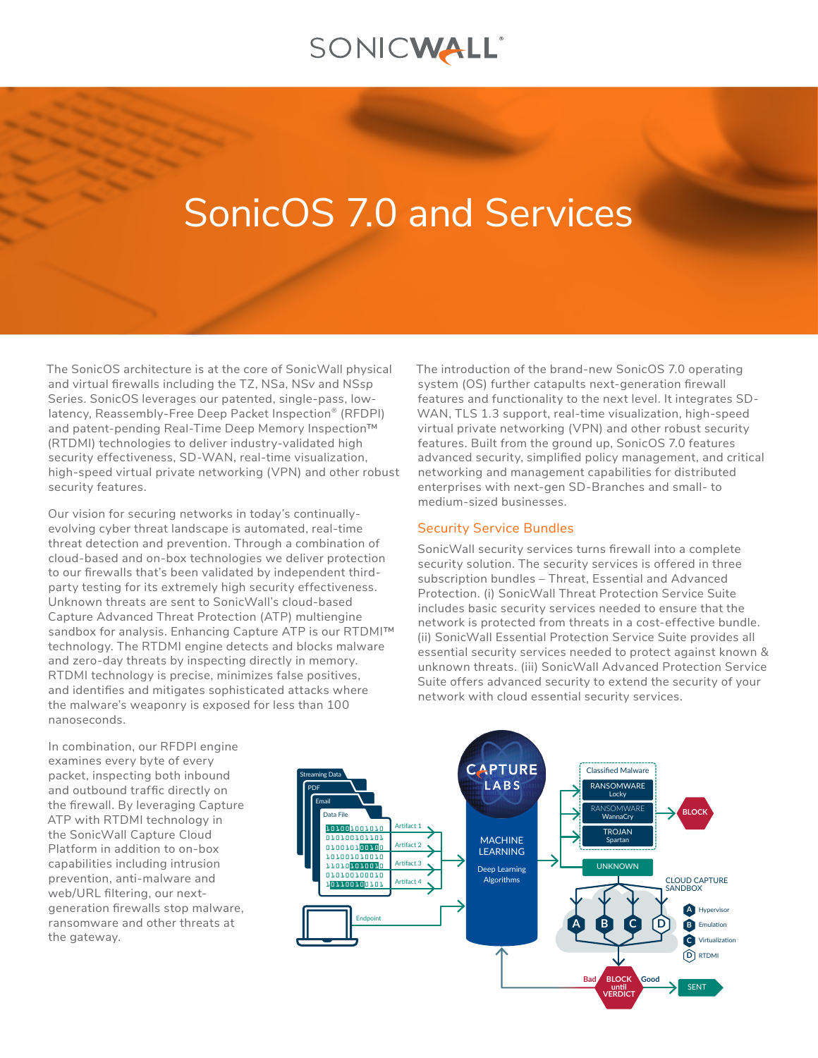## SONICWALL®

# SonicOS 7.0 and Services

The SonicOS architecture is at the core of SonicWall physical and virtual firewalls including the TZ, NS*a*, NS*v* and NS*sp*  Series. SonicOS leverages our patented, single-pass, lowlatency, Reassembly-Free Deep Packet Inspection® (RFDPI) and patent-pending Real-Time Deep Memory Inspection™ (RTDMI) technologies to deliver industry-validated high security effectiveness, SD-WAN, real-time visualization, high-speed virtual private networking (VPN) and other robust security features.

Our vision for securing networks in today's continuallyevolving cyber threat landscape is automated, real-time threat detection and prevention. Through a combination of cloud-based and on-box technologies we deliver protection to our firewalls that's been validated by independent thirdparty testing for its extremely high security effectiveness. Unknown threats are sent to SonicWall's cloud-based Capture Advanced Threat Protection (ATP) multiengine sandbox for analysis. Enhancing Capture ATP is our RTDMI™ technology. The RTDMI engine detects and blocks malware and zero-day threats by inspecting directly in memory. RTDMI technology is precise, minimizes false positives, and identifies and mitigates sophisticated attacks where the malware's weaponry is exposed for less than 100 nanoseconds.

The introduction of the brand-new SonicOS 7.0 operating system (OS) further catapults next-generation firewall features and functionality to the next level. It integrates SD-WAN, TLS 1.3 support, real-time visualization, high-speed virtual private networking (VPN) and other robust security features. Built from the ground up, SonicOS 7.0 features advanced security, simplified policy management, and critical networking and management capabilities for distributed enterprises with next-gen SD-Branches and small- to medium-sized businesses.

### Security Service Bundles

SonicWall security services turns firewall into a complete security solution. The security services is offered in three subscription bundles – Threat, Essential and Advanced Protection. (i) SonicWall Threat Protection Service Suite includes basic security services needed to ensure that the network is protected from threats in a cost-effective bundle. (ii) SonicWall Essential Protection Service Suite provides all essential security services needed to protect against known & unknown threats. (iii) SonicWall Advanced Protection Service Suite offers advanced security to extend the security of your network with cloud essential security services.

In combination, our RFDPI engine examines every byte of every packet, inspecting both inbound and outbound traffic directly on the firewall. By leveraging Capture ATP with RTDMI technology in the SonicWall Capture Cloud Platform in addition to on-box capabilities including intrusion prevention, anti-malware and web/URL filtering, our nextgeneration firewalls stop malware, ransomware and other threats at the gateway.

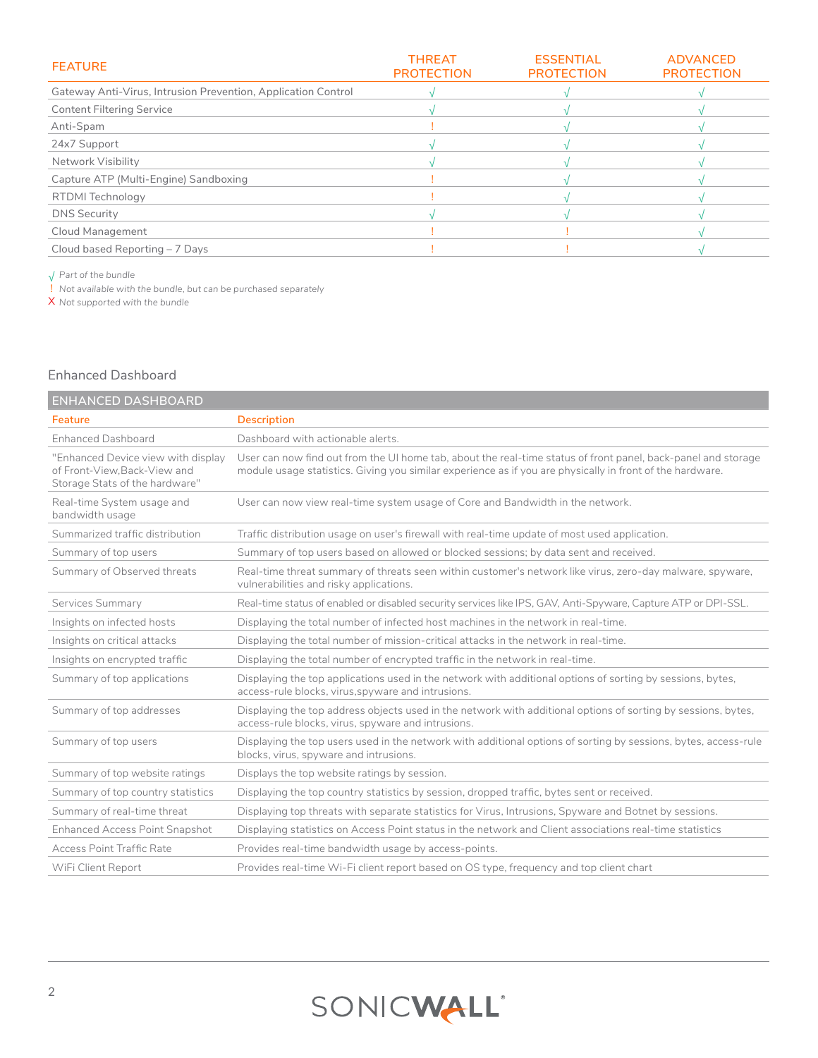| <b>FEATURE</b>                                                | <b>THREAT</b><br><b>PROTECTION</b> | <b>ESSENTIAL</b><br><b>PROTECTION</b> | <b>ADVANCED</b><br><b>PROTECTION</b> |
|---------------------------------------------------------------|------------------------------------|---------------------------------------|--------------------------------------|
| Gateway Anti-Virus, Intrusion Prevention, Application Control |                                    |                                       |                                      |
| <b>Content Filtering Service</b>                              |                                    |                                       |                                      |
| Anti-Spam                                                     |                                    |                                       |                                      |
| 24x7 Support                                                  |                                    |                                       |                                      |
| Network Visibility                                            |                                    |                                       |                                      |
| Capture ATP (Multi-Engine) Sandboxing                         |                                    |                                       |                                      |
| RTDMI Technology                                              |                                    |                                       |                                      |
| <b>DNS Security</b>                                           |                                    |                                       |                                      |
| Cloud Management                                              |                                    |                                       |                                      |
| Cloud based Reporting - 7 Days                                |                                    |                                       |                                      |

√ *Part of the bundle*

! *Not available with the bundle, but can be purchased separately*

X *Not supported with the bundle*

### Enhanced Dashboard

| <b>ENHANCED DASHBOARD</b>                                                                           |                                                                                                                                                                                                                            |
|-----------------------------------------------------------------------------------------------------|----------------------------------------------------------------------------------------------------------------------------------------------------------------------------------------------------------------------------|
| Feature                                                                                             | <b>Description</b>                                                                                                                                                                                                         |
| <b>Enhanced Dashboard</b>                                                                           | Dashboard with actionable alerts.                                                                                                                                                                                          |
| "Enhanced Device view with display<br>of Front-View.Back-View and<br>Storage Stats of the hardware" | User can now find out from the UI home tab, about the real-time status of front panel, back-panel and storage<br>module usage statistics. Giving you similar experience as if you are physically in front of the hardware. |
| Real-time System usage and<br>bandwidth usage                                                       | User can now view real-time system usage of Core and Bandwidth in the network.                                                                                                                                             |
| Summarized traffic distribution                                                                     | Traffic distribution usage on user's firewall with real-time update of most used application.                                                                                                                              |
| Summary of top users                                                                                | Summary of top users based on allowed or blocked sessions; by data sent and received.                                                                                                                                      |
| Summary of Observed threats                                                                         | Real-time threat summary of threats seen within customer's network like virus, zero-day malware, spyware,<br>vulnerabilities and risky applications.                                                                       |
| Services Summary                                                                                    | Real-time status of enabled or disabled security services like IPS, GAV, Anti-Spyware, Capture ATP or DPI-SSL.                                                                                                             |
| Insights on infected hosts                                                                          | Displaying the total number of infected host machines in the network in real-time.                                                                                                                                         |
| Insights on critical attacks                                                                        | Displaying the total number of mission-critical attacks in the network in real-time.                                                                                                                                       |
| Insights on encrypted traffic                                                                       | Displaying the total number of encrypted traffic in the network in real-time.                                                                                                                                              |
| Summary of top applications                                                                         | Displaying the top applications used in the network with additional options of sorting by sessions, bytes,<br>access-rule blocks, virus, spyware and intrusions.                                                           |
| Summary of top addresses                                                                            | Displaying the top address objects used in the network with additional options of sorting by sessions, bytes,<br>access-rule blocks, virus, spyware and intrusions.                                                        |
| Summary of top users                                                                                | Displaying the top users used in the network with additional options of sorting by sessions, bytes, access-rule<br>blocks, virus, spyware and intrusions.                                                                  |
| Summary of top website ratings                                                                      | Displays the top website ratings by session.                                                                                                                                                                               |
| Summary of top country statistics                                                                   | Displaying the top country statistics by session, dropped traffic, bytes sent or received.                                                                                                                                 |
| Summary of real-time threat                                                                         | Displaying top threats with separate statistics for Virus, Intrusions, Spyware and Botnet by sessions.                                                                                                                     |
| <b>Enhanced Access Point Snapshot</b>                                                               | Displaying statistics on Access Point status in the network and Client associations real-time statistics                                                                                                                   |
| Access Point Traffic Rate                                                                           | Provides real-time bandwidth usage by access-points.                                                                                                                                                                       |
| WiFi Client Report                                                                                  | Provides real-time Wi-Fi client report based on OS type, frequency and top client chart                                                                                                                                    |

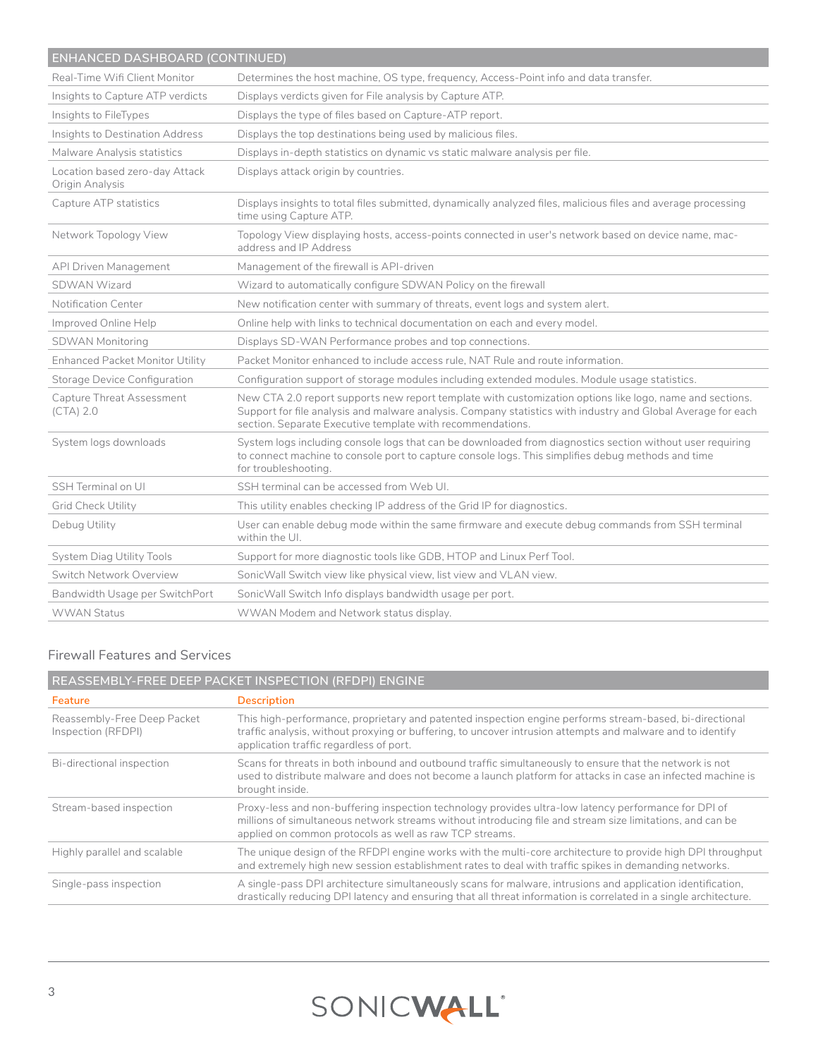| <b>ENHANCED DASHBOARD (CONTINUED)</b>             |                                                                                                                                                                                                                                                                                        |
|---------------------------------------------------|----------------------------------------------------------------------------------------------------------------------------------------------------------------------------------------------------------------------------------------------------------------------------------------|
| Real-Time Wifi Client Monitor                     | Determines the host machine, OS type, frequency, Access-Point info and data transfer.                                                                                                                                                                                                  |
| Insights to Capture ATP verdicts                  | Displays verdicts given for File analysis by Capture ATP.                                                                                                                                                                                                                              |
| Insights to FileTypes                             | Displays the type of files based on Capture-ATP report.                                                                                                                                                                                                                                |
| Insights to Destination Address                   | Displays the top destinations being used by malicious files.                                                                                                                                                                                                                           |
| Malware Analysis statistics                       | Displays in-depth statistics on dynamic vs static malware analysis per file.                                                                                                                                                                                                           |
| Location based zero-day Attack<br>Origin Analysis | Displays attack origin by countries.                                                                                                                                                                                                                                                   |
| Capture ATP statistics                            | Displays insights to total files submitted, dynamically analyzed files, malicious files and average processing<br>time using Capture ATP.                                                                                                                                              |
| Network Topology View                             | Topology View displaying hosts, access-points connected in user's network based on device name, mac-<br>address and IP Address                                                                                                                                                         |
| <b>API Driven Management</b>                      | Management of the firewall is API-driven                                                                                                                                                                                                                                               |
| <b>SDWAN Wizard</b>                               | Wizard to automatically configure SDWAN Policy on the firewall                                                                                                                                                                                                                         |
| Notification Center                               | New notification center with summary of threats, event logs and system alert.                                                                                                                                                                                                          |
| Improved Online Help                              | Online help with links to technical documentation on each and every model.                                                                                                                                                                                                             |
| <b>SDWAN Monitoring</b>                           | Displays SD-WAN Performance probes and top connections.                                                                                                                                                                                                                                |
| Enhanced Packet Monitor Utility                   | Packet Monitor enhanced to include access rule, NAT Rule and route information.                                                                                                                                                                                                        |
| Storage Device Configuration                      | Configuration support of storage modules including extended modules. Module usage statistics.                                                                                                                                                                                          |
| Capture Threat Assessment<br>$(CTA)$ 2.0          | New CTA 2.0 report supports new report template with customization options like logo, name and sections.<br>Support for file analysis and malware analysis. Company statistics with industry and Global Average for each<br>section. Separate Executive template with recommendations. |
| System logs downloads                             | System logs including console logs that can be downloaded from diagnostics section without user requiring<br>to connect machine to console port to capture console logs. This simplifies debug methods and time<br>for troubleshooting.                                                |
| SSH Terminal on UI                                | SSH terminal can be accessed from Web UI.                                                                                                                                                                                                                                              |
| Grid Check Utility                                | This utility enables checking IP address of the Grid IP for diagnostics.                                                                                                                                                                                                               |
| Debug Utility                                     | User can enable debug mode within the same firmware and execute debug commands from SSH terminal<br>within the UI.                                                                                                                                                                     |
| <b>System Diag Utility Tools</b>                  | Support for more diagnostic tools like GDB, HTOP and Linux Perf Tool.                                                                                                                                                                                                                  |
| Switch Network Overview                           | SonicWall Switch view like physical view, list view and VLAN view.                                                                                                                                                                                                                     |
| Bandwidth Usage per SwitchPort                    | SonicWall Switch Info displays bandwidth usage per port.                                                                                                                                                                                                                               |
| <b>WWAN Status</b>                                | WWAN Modem and Network status display.                                                                                                                                                                                                                                                 |

## Firewall Features and Services

| REASSEMBLY-FREE DEEP PACKET INSPECTION (RFDPI) ENGINE |                                                                                                                                                                                                                                                                              |
|-------------------------------------------------------|------------------------------------------------------------------------------------------------------------------------------------------------------------------------------------------------------------------------------------------------------------------------------|
| Feature                                               | <b>Description</b>                                                                                                                                                                                                                                                           |
| Reassembly-Free Deep Packet<br>Inspection (RFDPI)     | This high-performance, proprietary and patented inspection engine performs stream-based, bi-directional<br>traffic analysis, without proxying or buffering, to uncover intrusion attempts and malware and to identify<br>application traffic regardless of port.             |
| Bi-directional inspection                             | Scans for threats in both inbound and outbound traffic simultaneously to ensure that the network is not<br>used to distribute malware and does not become a launch platform for attacks in case an infected machine is<br>brought inside.                                    |
| Stream-based inspection                               | Proxy-less and non-buffering inspection technology provides ultra-low latency performance for DPI of<br>millions of simultaneous network streams without introducing file and stream size limitations, and can be<br>applied on common protocols as well as raw TCP streams. |
| Highly parallel and scalable                          | The unique design of the RFDPI engine works with the multi-core architecture to provide high DPI throughput<br>and extremely high new session establishment rates to deal with traffic spikes in demanding networks.                                                         |
| Single-pass inspection                                | A single-pass DPI architecture simultaneously scans for malware, intrusions and application identification,<br>drastically reducing DPI latency and ensuring that all threat information is correlated in a single architecture.                                             |

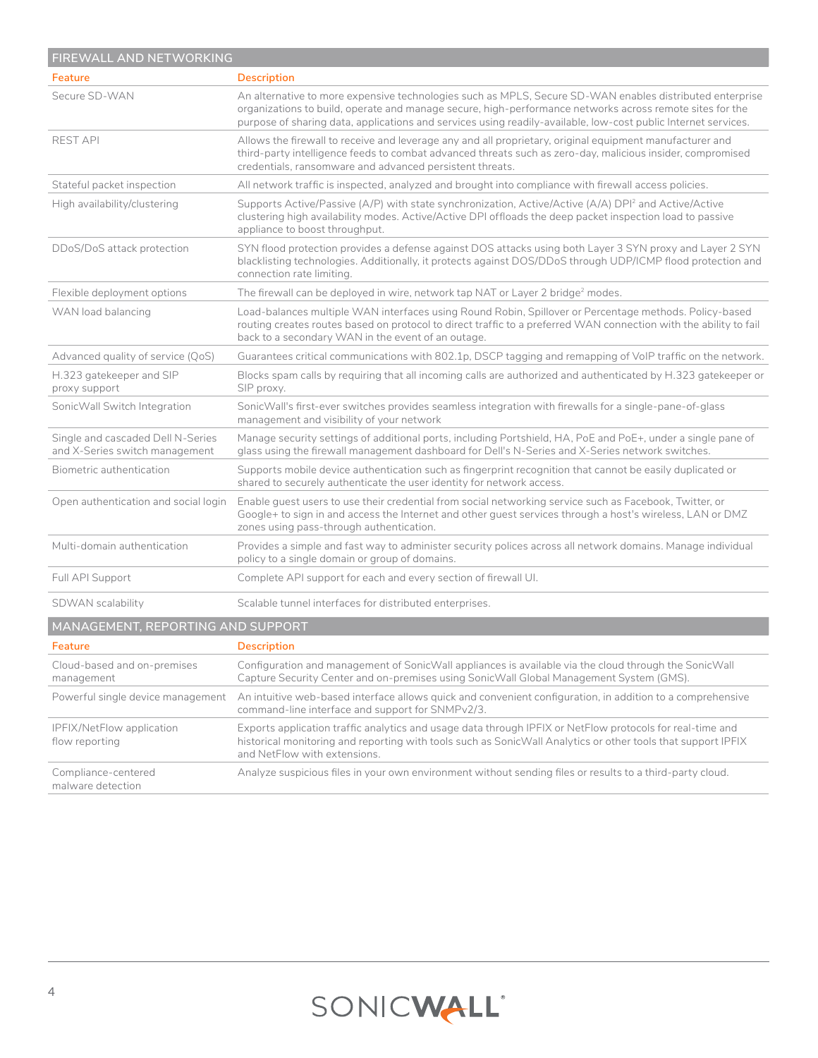| FIREWALL AND NETWORKING                                             |                                                                                                                                                                                                                                                                                                                                        |  |
|---------------------------------------------------------------------|----------------------------------------------------------------------------------------------------------------------------------------------------------------------------------------------------------------------------------------------------------------------------------------------------------------------------------------|--|
| Feature                                                             | <b>Description</b>                                                                                                                                                                                                                                                                                                                     |  |
| Secure SD-WAN                                                       | An alternative to more expensive technologies such as MPLS, Secure SD-WAN enables distributed enterprise<br>organizations to build, operate and manage secure, high-performance networks across remote sites for the<br>purpose of sharing data, applications and services using readily-available, low-cost public Internet services. |  |
| <b>REST API</b>                                                     | Allows the firewall to receive and leverage any and all proprietary, original equipment manufacturer and<br>third-party intelligence feeds to combat advanced threats such as zero-day, malicious insider, compromised<br>credentials, ransomware and advanced persistent threats.                                                     |  |
| Stateful packet inspection                                          | All network traffic is inspected, analyzed and brought into compliance with firewall access policies.                                                                                                                                                                                                                                  |  |
| High availability/clustering                                        | Supports Active/Passive (A/P) with state synchronization, Active/Active (A/A) DPI <sup>2</sup> and Active/Active<br>clustering high availability modes. Active/Active DPI offloads the deep packet inspection load to passive<br>appliance to boost throughput.                                                                        |  |
| DDoS/DoS attack protection                                          | SYN flood protection provides a defense against DOS attacks using both Layer 3 SYN proxy and Layer 2 SYN<br>blacklisting technologies. Additionally, it protects against DOS/DDoS through UDP/ICMP flood protection and<br>connection rate limiting.                                                                                   |  |
| Flexible deployment options                                         | The firewall can be deployed in wire, network tap NAT or Layer 2 bridge <sup>2</sup> modes.                                                                                                                                                                                                                                            |  |
| WAN load balancing                                                  | Load-balances multiple WAN interfaces using Round Robin, Spillover or Percentage methods. Policy-based<br>routing creates routes based on protocol to direct traffic to a preferred WAN connection with the ability to fail<br>back to a secondary WAN in the event of an outage.                                                      |  |
| Advanced quality of service (QoS)                                   | Guarantees critical communications with 802.1p, DSCP tagging and remapping of VoIP traffic on the network.                                                                                                                                                                                                                             |  |
| H.323 gatekeeper and SIP<br>proxy support                           | Blocks spam calls by requiring that all incoming calls are authorized and authenticated by H.323 gatekeeper or<br>SIP proxy.                                                                                                                                                                                                           |  |
| SonicWall Switch Integration                                        | SonicWall's first-ever switches provides seamless integration with firewalls for a single-pane-of-glass<br>management and visibility of your network                                                                                                                                                                                   |  |
| Single and cascaded Dell N-Series<br>and X-Series switch management | Manage security settings of additional ports, including Portshield, HA, PoE and PoE+, under a single pane of<br>glass using the firewall management dashboard for Dell's N-Series and X-Series network switches.                                                                                                                       |  |
| Biometric authentication                                            | Supports mobile device authentication such as fingerprint recognition that cannot be easily duplicated or<br>shared to securely authenticate the user identity for network access.                                                                                                                                                     |  |
| Open authentication and social login                                | Enable quest users to use their credential from social networking service such as Facebook, Twitter, or<br>Google+ to sign in and access the Internet and other guest services through a host's wireless, LAN or DMZ<br>zones using pass-through authentication.                                                                       |  |
| Multi-domain authentication                                         | Provides a simple and fast way to administer security polices across all network domains. Manage individual<br>policy to a single domain or group of domains.                                                                                                                                                                          |  |
| Full API Support                                                    | Complete API support for each and every section of firewall UI.                                                                                                                                                                                                                                                                        |  |
| SDWAN scalability                                                   | Scalable tunnel interfaces for distributed enterprises.                                                                                                                                                                                                                                                                                |  |
| MANAGEMENT, REPORTING AND SUPPORT                                   |                                                                                                                                                                                                                                                                                                                                        |  |
| Feature                                                             | <b>Description</b>                                                                                                                                                                                                                                                                                                                     |  |
| Cloud-based and on-premises<br>management                           | Configuration and management of SonicWall appliances is available via the cloud through the SonicWall<br>Capture Security Center and on-premises using SonicWall Global Management System (GMS).                                                                                                                                       |  |
| Powerful single device management                                   | An intuitive web-based interface allows quick and convenient configuration, in addition to a comprehensive<br>command-line interface and support for SNMPv2/3.                                                                                                                                                                         |  |
| IPFIX/NetFlow application<br>flow reporting                         | Exports application traffic analytics and usage data through IPFIX or NetFlow protocols for real-time and<br>historical monitoring and reporting with tools such as SonicWall Analytics or other tools that support IPFIX<br>and NetFlow with extensions.                                                                              |  |
| Compliance-centered<br>malware detection                            | Analyze suspicious files in your own environment without sending files or results to a third-party cloud.                                                                                                                                                                                                                              |  |

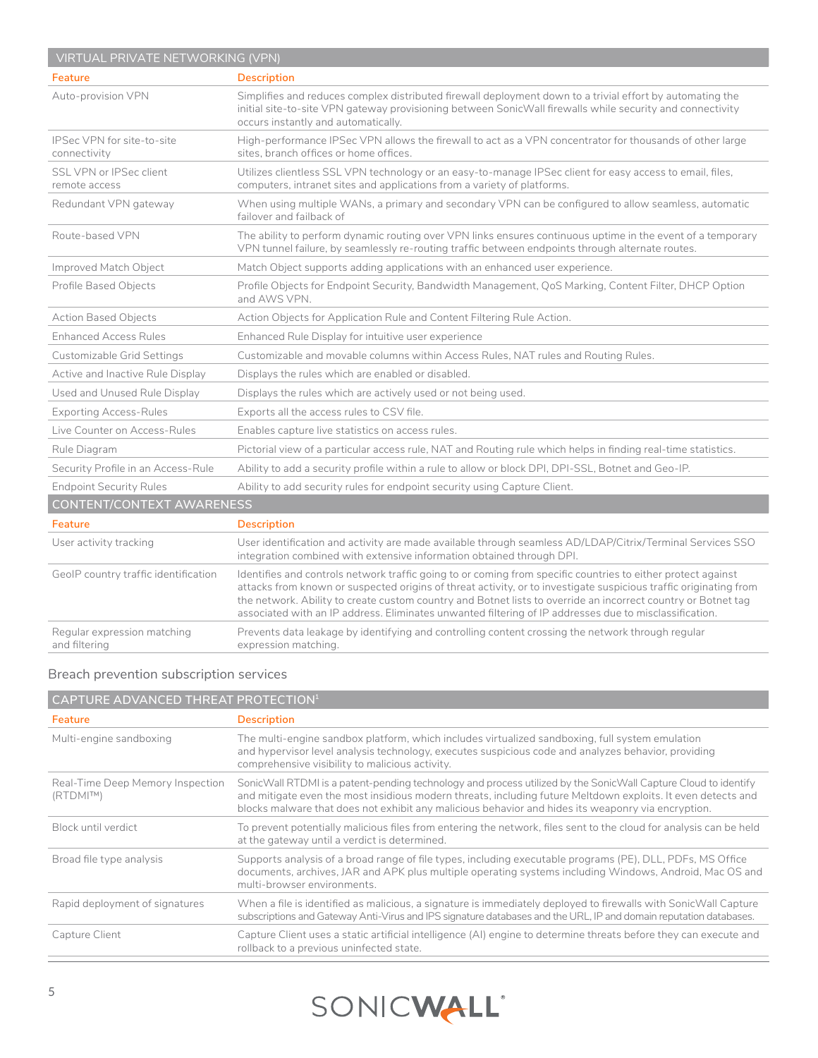## VIRTUAL PRIVATE NETWORKING (VPN)

| Feature                                      | <b>Description</b>                                                                                                                                                                                                                                                                                                                                                                                                                                           |  |
|----------------------------------------------|--------------------------------------------------------------------------------------------------------------------------------------------------------------------------------------------------------------------------------------------------------------------------------------------------------------------------------------------------------------------------------------------------------------------------------------------------------------|--|
| Auto-provision VPN                           | Simplifies and reduces complex distributed firewall deployment down to a trivial effort by automating the<br>initial site-to-site VPN gateway provisioning between SonicWall firewalls while security and connectivity<br>occurs instantly and automatically.                                                                                                                                                                                                |  |
| IPSec VPN for site-to-site<br>connectivity   | High-performance IPSec VPN allows the firewall to act as a VPN concentrator for thousands of other large<br>sites, branch offices or home offices.                                                                                                                                                                                                                                                                                                           |  |
| SSL VPN or IPSec client<br>remote access     | Utilizes clientless SSL VPN technology or an easy-to-manage IPSec client for easy access to email, files,<br>computers, intranet sites and applications from a variety of platforms.                                                                                                                                                                                                                                                                         |  |
| Redundant VPN gateway                        | When using multiple WANs, a primary and secondary VPN can be configured to allow seamless, automatic<br>failover and failback of                                                                                                                                                                                                                                                                                                                             |  |
| Route-based VPN                              | The ability to perform dynamic routing over VPN links ensures continuous uptime in the event of a temporary<br>VPN tunnel failure, by seamlessly re-routing traffic between endpoints through alternate routes.                                                                                                                                                                                                                                              |  |
| Improved Match Object                        | Match Object supports adding applications with an enhanced user experience.                                                                                                                                                                                                                                                                                                                                                                                  |  |
| Profile Based Objects                        | Profile Objects for Endpoint Security, Bandwidth Management, QoS Marking, Content Filter, DHCP Option<br>and AWS VPN.                                                                                                                                                                                                                                                                                                                                        |  |
| <b>Action Based Objects</b>                  | Action Objects for Application Rule and Content Filtering Rule Action.                                                                                                                                                                                                                                                                                                                                                                                       |  |
| <b>Enhanced Access Rules</b>                 | Enhanced Rule Display for intuitive user experience                                                                                                                                                                                                                                                                                                                                                                                                          |  |
| Customizable Grid Settings                   | Customizable and movable columns within Access Rules, NAT rules and Routing Rules.                                                                                                                                                                                                                                                                                                                                                                           |  |
| Active and Inactive Rule Display             | Displays the rules which are enabled or disabled.                                                                                                                                                                                                                                                                                                                                                                                                            |  |
| Used and Unused Rule Display                 | Displays the rules which are actively used or not being used.                                                                                                                                                                                                                                                                                                                                                                                                |  |
| <b>Exporting Access-Rules</b>                | Exports all the access rules to CSV file.                                                                                                                                                                                                                                                                                                                                                                                                                    |  |
| Live Counter on Access-Rules                 | Enables capture live statistics on access rules.                                                                                                                                                                                                                                                                                                                                                                                                             |  |
| Rule Diagram                                 | Pictorial view of a particular access rule, NAT and Routing rule which helps in finding real-time statistics.                                                                                                                                                                                                                                                                                                                                                |  |
| Security Profile in an Access-Rule           | Ability to add a security profile within a rule to allow or block DPI, DPI-SSL, Botnet and Geo-IP.                                                                                                                                                                                                                                                                                                                                                           |  |
| <b>Endpoint Security Rules</b>               | Ability to add security rules for endpoint security using Capture Client.                                                                                                                                                                                                                                                                                                                                                                                    |  |
| <b>CONTENT/CONTEXT AWARENESS</b>             |                                                                                                                                                                                                                                                                                                                                                                                                                                                              |  |
| Feature                                      | <b>Description</b>                                                                                                                                                                                                                                                                                                                                                                                                                                           |  |
| User activity tracking                       | User identification and activity are made available through seamless AD/LDAP/Citrix/Terminal Services SSO<br>integration combined with extensive information obtained through DPI.                                                                                                                                                                                                                                                                           |  |
| GeolP country traffic identification         | Identifies and controls network traffic going to or coming from specific countries to either protect against<br>attacks from known or suspected origins of threat activity, or to investigate suspicious traffic originating from<br>the network. Ability to create custom country and Botnet lists to override an incorrect country or Botnet tag<br>associated with an IP address. Eliminates unwanted filtering of IP addresses due to misclassification. |  |
| Regular expression matching<br>and filtering | Prevents data leakage by identifying and controlling content crossing the network through regular<br>expression matching.                                                                                                                                                                                                                                                                                                                                    |  |

## Breach prevention subscription services

| CAPTURE ADVANCED THREAT PROTECTION <sup>1</sup> |                                                                                                                                                                                                                                                                                                                                      |  |
|-------------------------------------------------|--------------------------------------------------------------------------------------------------------------------------------------------------------------------------------------------------------------------------------------------------------------------------------------------------------------------------------------|--|
| Feature                                         | <b>Description</b>                                                                                                                                                                                                                                                                                                                   |  |
| Multi-engine sandboxing                         | The multi-engine sandbox platform, which includes virtualized sandboxing, full system emulation<br>and hypervisor level analysis technology, executes suspicious code and analyzes behavior, providing<br>comprehensive visibility to malicious activity.                                                                            |  |
| Real-Time Deep Memory Inspection<br>(RTDMI™)    | SonicWall RTDMI is a patent-pending technology and process utilized by the SonicWall Capture Cloud to identify<br>and mitigate even the most insidious modern threats, including future Meltdown exploits. It even detects and<br>blocks malware that does not exhibit any malicious behavior and hides its weaponry via encryption. |  |
| Block until verdict                             | To prevent potentially malicious files from entering the network, files sent to the cloud for analysis can be held<br>at the gateway until a verdict is determined.                                                                                                                                                                  |  |
| Broad file type analysis                        | Supports analysis of a broad range of file types, including executable programs (PE), DLL, PDFs, MS Office<br>documents, archives, JAR and APK plus multiple operating systems including Windows, Android, Mac OS and<br>multi-browser environments.                                                                                 |  |
| Rapid deployment of signatures                  | When a file is identified as malicious, a signature is immediately deployed to firewalls with SonicWall Capture<br>subscriptions and Gateway Anti-Virus and IPS signature databases and the URL, IP and domain reputation databases.                                                                                                 |  |
| Capture Client                                  | Capture Client uses a static artificial intelligence (AI) engine to determine threats before they can execute and<br>rollback to a previous uninfected state.                                                                                                                                                                        |  |

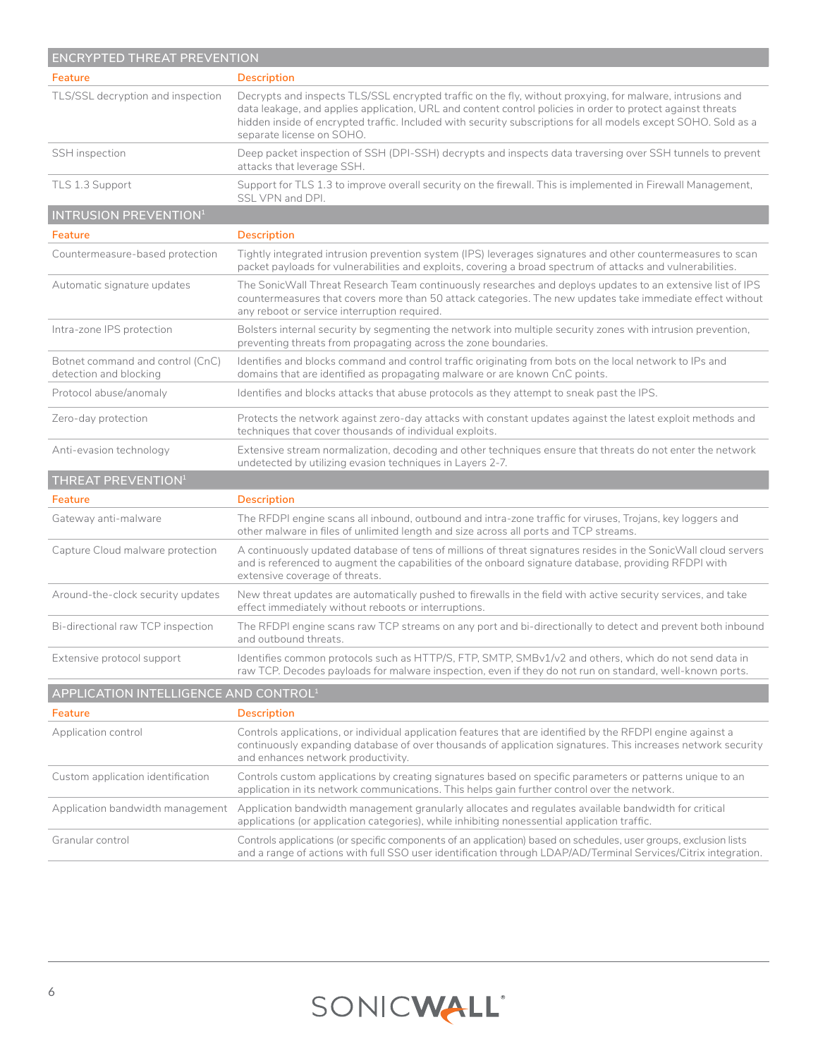| <b>Description</b><br>Feature<br>TLS/SSL decryption and inspection<br>Decrypts and inspects TLS/SSL encrypted traffic on the fly, without proxying, for malware, intrusions and<br>data leakage, and applies application, URL and content control policies in order to protect against threats<br>hidden inside of encrypted traffic. Included with security subscriptions for all models except SOHO. Sold as a<br>separate license on SOHO.<br>Deep packet inspection of SSH (DPI-SSH) decrypts and inspects data traversing over SSH tunnels to prevent<br>SSH inspection<br>attacks that leverage SSH.<br>TLS 1.3 Support<br>Support for TLS 1.3 to improve overall security on the firewall. This is implemented in Firewall Management,<br>SSL VPN and DPI.<br><b>INTRUSION PREVENTION<sup>1</sup></b><br>Description<br><b>Feature</b><br>Countermeasure-based protection<br>Tightly integrated intrusion prevention system (IPS) leverages signatures and other countermeasures to scan<br>packet payloads for vulnerabilities and exploits, covering a broad spectrum of attacks and vulnerabilities.<br>Automatic signature updates<br>The SonicWall Threat Research Team continuously researches and deploys updates to an extensive list of IPS<br>countermeasures that covers more than 50 attack categories. The new updates take immediate effect without<br>any reboot or service interruption required.<br>Intra-zone IPS protection<br>Bolsters internal security by segmenting the network into multiple security zones with intrusion prevention,<br>preventing threats from propagating across the zone boundaries.<br>Botnet command and control (CnC)<br>Identifies and blocks command and control traffic originating from bots on the local network to IPs and<br>detection and blocking<br>domains that are identified as propagating malware or are known CnC points.<br>Protocol abuse/anomaly<br>Identifies and blocks attacks that abuse protocols as they attempt to sneak past the IPS.<br>Protects the network against zero-day attacks with constant updates against the latest exploit methods and<br>Zero-day protection<br>techniques that cover thousands of individual exploits.<br>Anti-evasion technology<br>Extensive stream normalization, decoding and other techniques ensure that threats do not enter the network |
|------------------------------------------------------------------------------------------------------------------------------------------------------------------------------------------------------------------------------------------------------------------------------------------------------------------------------------------------------------------------------------------------------------------------------------------------------------------------------------------------------------------------------------------------------------------------------------------------------------------------------------------------------------------------------------------------------------------------------------------------------------------------------------------------------------------------------------------------------------------------------------------------------------------------------------------------------------------------------------------------------------------------------------------------------------------------------------------------------------------------------------------------------------------------------------------------------------------------------------------------------------------------------------------------------------------------------------------------------------------------------------------------------------------------------------------------------------------------------------------------------------------------------------------------------------------------------------------------------------------------------------------------------------------------------------------------------------------------------------------------------------------------------------------------------------------------------------------------------------------------------------------------------------------------------------------------------------------------------------------------------------------------------------------------------------------------------------------------------------------------------------------------------------------------------------------------------------------------------------------------------------------------------------------------------------------------------------------------------------------|
|                                                                                                                                                                                                                                                                                                                                                                                                                                                                                                                                                                                                                                                                                                                                                                                                                                                                                                                                                                                                                                                                                                                                                                                                                                                                                                                                                                                                                                                                                                                                                                                                                                                                                                                                                                                                                                                                                                                                                                                                                                                                                                                                                                                                                                                                                                                                                                  |
|                                                                                                                                                                                                                                                                                                                                                                                                                                                                                                                                                                                                                                                                                                                                                                                                                                                                                                                                                                                                                                                                                                                                                                                                                                                                                                                                                                                                                                                                                                                                                                                                                                                                                                                                                                                                                                                                                                                                                                                                                                                                                                                                                                                                                                                                                                                                                                  |
|                                                                                                                                                                                                                                                                                                                                                                                                                                                                                                                                                                                                                                                                                                                                                                                                                                                                                                                                                                                                                                                                                                                                                                                                                                                                                                                                                                                                                                                                                                                                                                                                                                                                                                                                                                                                                                                                                                                                                                                                                                                                                                                                                                                                                                                                                                                                                                  |
|                                                                                                                                                                                                                                                                                                                                                                                                                                                                                                                                                                                                                                                                                                                                                                                                                                                                                                                                                                                                                                                                                                                                                                                                                                                                                                                                                                                                                                                                                                                                                                                                                                                                                                                                                                                                                                                                                                                                                                                                                                                                                                                                                                                                                                                                                                                                                                  |
|                                                                                                                                                                                                                                                                                                                                                                                                                                                                                                                                                                                                                                                                                                                                                                                                                                                                                                                                                                                                                                                                                                                                                                                                                                                                                                                                                                                                                                                                                                                                                                                                                                                                                                                                                                                                                                                                                                                                                                                                                                                                                                                                                                                                                                                                                                                                                                  |
|                                                                                                                                                                                                                                                                                                                                                                                                                                                                                                                                                                                                                                                                                                                                                                                                                                                                                                                                                                                                                                                                                                                                                                                                                                                                                                                                                                                                                                                                                                                                                                                                                                                                                                                                                                                                                                                                                                                                                                                                                                                                                                                                                                                                                                                                                                                                                                  |
|                                                                                                                                                                                                                                                                                                                                                                                                                                                                                                                                                                                                                                                                                                                                                                                                                                                                                                                                                                                                                                                                                                                                                                                                                                                                                                                                                                                                                                                                                                                                                                                                                                                                                                                                                                                                                                                                                                                                                                                                                                                                                                                                                                                                                                                                                                                                                                  |
|                                                                                                                                                                                                                                                                                                                                                                                                                                                                                                                                                                                                                                                                                                                                                                                                                                                                                                                                                                                                                                                                                                                                                                                                                                                                                                                                                                                                                                                                                                                                                                                                                                                                                                                                                                                                                                                                                                                                                                                                                                                                                                                                                                                                                                                                                                                                                                  |
|                                                                                                                                                                                                                                                                                                                                                                                                                                                                                                                                                                                                                                                                                                                                                                                                                                                                                                                                                                                                                                                                                                                                                                                                                                                                                                                                                                                                                                                                                                                                                                                                                                                                                                                                                                                                                                                                                                                                                                                                                                                                                                                                                                                                                                                                                                                                                                  |
|                                                                                                                                                                                                                                                                                                                                                                                                                                                                                                                                                                                                                                                                                                                                                                                                                                                                                                                                                                                                                                                                                                                                                                                                                                                                                                                                                                                                                                                                                                                                                                                                                                                                                                                                                                                                                                                                                                                                                                                                                                                                                                                                                                                                                                                                                                                                                                  |
|                                                                                                                                                                                                                                                                                                                                                                                                                                                                                                                                                                                                                                                                                                                                                                                                                                                                                                                                                                                                                                                                                                                                                                                                                                                                                                                                                                                                                                                                                                                                                                                                                                                                                                                                                                                                                                                                                                                                                                                                                                                                                                                                                                                                                                                                                                                                                                  |
|                                                                                                                                                                                                                                                                                                                                                                                                                                                                                                                                                                                                                                                                                                                                                                                                                                                                                                                                                                                                                                                                                                                                                                                                                                                                                                                                                                                                                                                                                                                                                                                                                                                                                                                                                                                                                                                                                                                                                                                                                                                                                                                                                                                                                                                                                                                                                                  |
| undetected by utilizing evasion techniques in Layers 2-7.                                                                                                                                                                                                                                                                                                                                                                                                                                                                                                                                                                                                                                                                                                                                                                                                                                                                                                                                                                                                                                                                                                                                                                                                                                                                                                                                                                                                                                                                                                                                                                                                                                                                                                                                                                                                                                                                                                                                                                                                                                                                                                                                                                                                                                                                                                        |
| THREAT PREVENTION <sup>1</sup>                                                                                                                                                                                                                                                                                                                                                                                                                                                                                                                                                                                                                                                                                                                                                                                                                                                                                                                                                                                                                                                                                                                                                                                                                                                                                                                                                                                                                                                                                                                                                                                                                                                                                                                                                                                                                                                                                                                                                                                                                                                                                                                                                                                                                                                                                                                                   |
| Description<br>Feature                                                                                                                                                                                                                                                                                                                                                                                                                                                                                                                                                                                                                                                                                                                                                                                                                                                                                                                                                                                                                                                                                                                                                                                                                                                                                                                                                                                                                                                                                                                                                                                                                                                                                                                                                                                                                                                                                                                                                                                                                                                                                                                                                                                                                                                                                                                                           |
| Gateway anti-malware<br>The RFDPI engine scans all inbound, outbound and intra-zone traffic for viruses, Trojans, key loggers and<br>other malware in files of unlimited length and size across all ports and TCP streams.                                                                                                                                                                                                                                                                                                                                                                                                                                                                                                                                                                                                                                                                                                                                                                                                                                                                                                                                                                                                                                                                                                                                                                                                                                                                                                                                                                                                                                                                                                                                                                                                                                                                                                                                                                                                                                                                                                                                                                                                                                                                                                                                       |
| Capture Cloud malware protection<br>A continuously updated database of tens of millions of threat signatures resides in the SonicWall cloud servers<br>and is referenced to augment the capabilities of the onboard signature database, providing RFDPI with<br>extensive coverage of threats.                                                                                                                                                                                                                                                                                                                                                                                                                                                                                                                                                                                                                                                                                                                                                                                                                                                                                                                                                                                                                                                                                                                                                                                                                                                                                                                                                                                                                                                                                                                                                                                                                                                                                                                                                                                                                                                                                                                                                                                                                                                                   |
| New threat updates are automatically pushed to firewalls in the field with active security services, and take<br>Around-the-clock security updates<br>effect immediately without reboots or interruptions.                                                                                                                                                                                                                                                                                                                                                                                                                                                                                                                                                                                                                                                                                                                                                                                                                                                                                                                                                                                                                                                                                                                                                                                                                                                                                                                                                                                                                                                                                                                                                                                                                                                                                                                                                                                                                                                                                                                                                                                                                                                                                                                                                       |
| Bi-directional raw TCP inspection<br>The RFDPI engine scans raw TCP streams on any port and bi-directionally to detect and prevent both inbound<br>and outbound threats.                                                                                                                                                                                                                                                                                                                                                                                                                                                                                                                                                                                                                                                                                                                                                                                                                                                                                                                                                                                                                                                                                                                                                                                                                                                                                                                                                                                                                                                                                                                                                                                                                                                                                                                                                                                                                                                                                                                                                                                                                                                                                                                                                                                         |
| Identifies common protocols such as HTTP/S, FTP, SMTP, SMBv1/v2 and others, which do not send data in<br>Extensive protocol support<br>raw TCP. Decodes payloads for malware inspection, even if they do not run on standard, well-known ports.                                                                                                                                                                                                                                                                                                                                                                                                                                                                                                                                                                                                                                                                                                                                                                                                                                                                                                                                                                                                                                                                                                                                                                                                                                                                                                                                                                                                                                                                                                                                                                                                                                                                                                                                                                                                                                                                                                                                                                                                                                                                                                                  |
| APPLICATION INTELLIGENCE AND CONTROL <sup>1</sup>                                                                                                                                                                                                                                                                                                                                                                                                                                                                                                                                                                                                                                                                                                                                                                                                                                                                                                                                                                                                                                                                                                                                                                                                                                                                                                                                                                                                                                                                                                                                                                                                                                                                                                                                                                                                                                                                                                                                                                                                                                                                                                                                                                                                                                                                                                                |
| <b>Description</b><br>Feature                                                                                                                                                                                                                                                                                                                                                                                                                                                                                                                                                                                                                                                                                                                                                                                                                                                                                                                                                                                                                                                                                                                                                                                                                                                                                                                                                                                                                                                                                                                                                                                                                                                                                                                                                                                                                                                                                                                                                                                                                                                                                                                                                                                                                                                                                                                                    |
| Application control<br>Controls applications, or individual application features that are identified by the RFDPI engine against a<br>continuously expanding database of over thousands of application signatures. This increases network security<br>and enhances network productivity.                                                                                                                                                                                                                                                                                                                                                                                                                                                                                                                                                                                                                                                                                                                                                                                                                                                                                                                                                                                                                                                                                                                                                                                                                                                                                                                                                                                                                                                                                                                                                                                                                                                                                                                                                                                                                                                                                                                                                                                                                                                                         |
| Controls custom applications by creating signatures based on specific parameters or patterns unique to an<br>Custom application identification<br>application in its network communications. This helps gain further control over the network.                                                                                                                                                                                                                                                                                                                                                                                                                                                                                                                                                                                                                                                                                                                                                                                                                                                                                                                                                                                                                                                                                                                                                                                                                                                                                                                                                                                                                                                                                                                                                                                                                                                                                                                                                                                                                                                                                                                                                                                                                                                                                                                   |
| Application bandwidth management<br>Application bandwidth management granularly allocates and regulates available bandwidth for critical<br>applications (or application categories), while inhibiting nonessential application traffic.                                                                                                                                                                                                                                                                                                                                                                                                                                                                                                                                                                                                                                                                                                                                                                                                                                                                                                                                                                                                                                                                                                                                                                                                                                                                                                                                                                                                                                                                                                                                                                                                                                                                                                                                                                                                                                                                                                                                                                                                                                                                                                                         |
| Controls applications (or specific components of an application) based on schedules, user groups, exclusion lists<br>Granular control<br>and a range of actions with full SSO user identification through LDAP/AD/Terminal Services/Citrix integration.                                                                                                                                                                                                                                                                                                                                                                                                                                                                                                                                                                                                                                                                                                                                                                                                                                                                                                                                                                                                                                                                                                                                                                                                                                                                                                                                                                                                                                                                                                                                                                                                                                                                                                                                                                                                                                                                                                                                                                                                                                                                                                          |